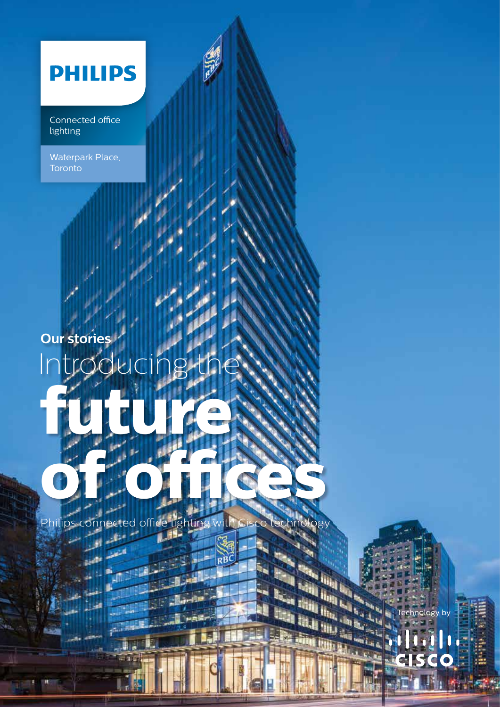### **PHILIPS**

Connected office lighting

Waterpark Place, **Toronto** 

### **future** Introducir **Our stories**

**of of other cases** Philips connected office lighting with Cisco technology

chnology by

 $\blacksquare$  $\bullet$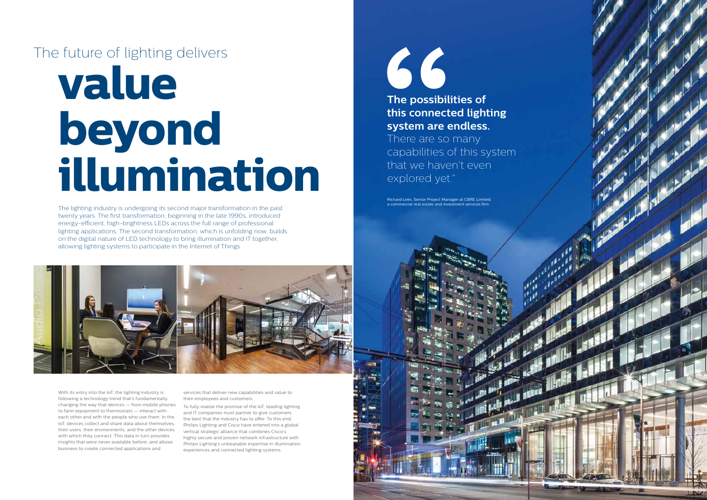# **value beyond illumination** The future of lighting delivers

With its entry into the IoT, the lighting industry is following a technology trend that's fundamentally changing the way that devices — from mobile phones to farm equipment to thermostats — interact with each other and with the people who use them. In the IoT, devices collect and share data about themselves, their users, their environments, and the other devices with which they connect. This data in turn provides insights that were never available before, and allows business to create connected applications and

services that deliver new capabilities and value to their employees and customers.

To fully realize the promise of the IoT, leading lighting and IT companies must partner to give customers the best that the industry has to offer. To this end, Philips Lighting and Cisco have entered into a global vertical strategic alliance that combines Cisco's highly secure and proven network infrastructure with Philips Lighting's unbeatable expertise in illumination experiences and connected lighting systems.



The lighting industry is undergoing its second major transformation in the past twenty years. The first transformation, beginning in the late 1990s, introduced energy-efficient, high-brightness LEDs across the full range of professional lighting applications. The second transformation, which is unfolding now, builds on the digital nature of LED technology to bring illumination and IT together, allowing lighting systems to participate in the Internet of Things.



**The possibilities of this connected lighting system are endless.**

There are so many capabilities of this system that we haven't even explored yet."

Richard Lees, Senior Project Manager at CBRE Limited, a commercial real estate and investment services firm

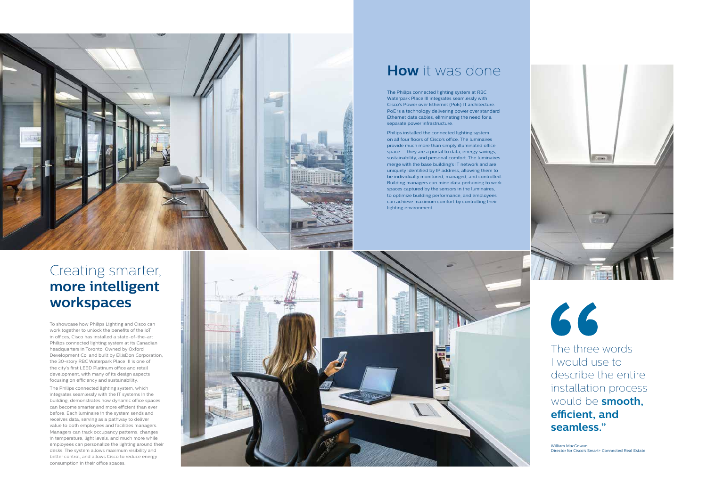To showcase how Philips Lighting and Cisco can work together to unlock the benefits of the IoT in offices, Cisco has installed a state-of-the-art Philips connected lighting system at its Canadian headquarters in Toronto. Owned by Oxford Development Co. and built by EllisDon Corporation, the 30-story RBC Waterpark Place III is one of the city's first LEED Platinum office and retail development, with many of its design aspects focusing on efficiency and sustainability.

The Philips connected lighting system, which integrates seamlessly with the IT systems in the building, demonstrates how dynamic office spaces can become smarter and more efficient than ever before. Each luminaire in the system sends and receives data, serving as a pathway to deliver value to both employees and facilities managers. Managers can track occupancy patterns, changes in temperature, light levels, and much more while employees can personalize the lighting around their desks. The system allows maximum visibility and better control, and allows Cisco to reduce energy consumption in their office spaces.







#### Creating smarter, **more intelligent workspaces**



#### **How** it was done

The three words I would use to describe the entire installation process would be **smooth, efficient, and seamless."**

William MacGowan, Director for Cisco's Smart+ Connected Real Estate

The Philips connected lighting system at RBC Waterpark Place III integrates seamlessly with Cisco's Power over Ethernet (PoE) IT architecture. PoE is a technology delivering power over standard Ethernet data cables, eliminating the need for a separate power infrastructure.

Philips installed the connected lighting system on all four floors of Cisco's office. The luminaires provide much more than simply illuminated office space — they are a portal to data, energy savings, sustainability, and personal comfort. The luminaires merge with the base building's IT network and are uniquely identified by IP address, allowing them to be individually monitored, managed, and controlled. Building managers can mine data pertaining to work spaces captured by the sensors in the luminaires, to optimize building performance, and employees can achieve maximum comfort by controlling their lighting environment.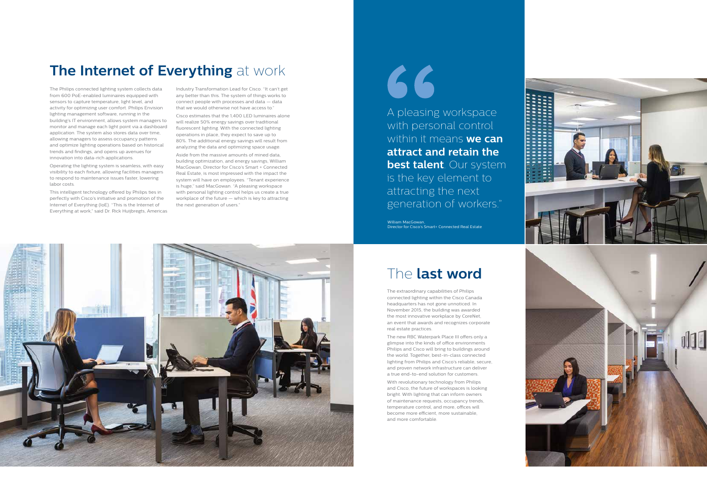The Philips connected lighting system collects data from 600 PoE-enabled luminaires equipped with sensors to capture temperature, light level, and activity for optimizing user comfort. Philips Envision lighting management software, running in the building's IT environment, allows system managers to monitor and manage each light point via a dashboard application. The system also stores data over time, allowing managers to assess occupancy patterns and optimize lighting operations based on historical trends and findings, and opens up avenues for innovation into data-rich applications.

Operating the lighting system is seamless, with easy visibility to each fixture, allowing facilities managers to respond to maintenance issues faster, lowering labor costs.

This intelligent technology offered by Philips ties in perfectly with Cisco's initiative and promotion of the Internet of Everything (IoE). "This is the Internet of Everything at work," said Dr. Rick Huijbregts, Americas

Industry Transformation Lead for Cisco. "It can't get any better than this. The system of things works to connect people with processes and data — data that we would otherwise not have access to."

Cisco estimates that the 1,400 LED luminaires alone will realize 50% energy savings over traditional fluorescent lighting. With the connected lighting operations in place, they expect to save up to 80%. The additional energy savings will result from analyzing the data and optimizing space usage.

Aside from the massive amounts of mined data, building optimization, and energy savings, William MacGowan, Director for Cisco's Smart + Connected Real Estate, is most impressed with the impact the system will have on employees. "Tenant experience is huge," said MacGowan. "A pleasing workspace with personal lighting control helps us create a true workplace of the future — which is key to attracting the next generation of users."

## 66

#### **The Internet of Everything** at work

#### The **last word**

A pleasing workspace with personal control within it means **we can attract and retain the best talent**. Our system is the key element to attracting the next generation of workers."

The extraordinary capabilities of Philips connected lighting within the Cisco Canada headquarters has not gone unnoticed. In November 2015, the building was awarded the most innovative workplace by CoreNet, an event that awards and recognizes corporate real estate practices.

The new RBC Waterpark Place III offers only a glimpse into the kinds of office environments Philips and Cisco will bring to buildings around the world. Together, best-in-class connected lighting from Philips and Cisco's reliable, secure, and proven network infrastructure can deliver a true end-to-end solution for customers.

With revolutionary technology from Philips and Cisco, the future of workspaces is looking bright. With lighting that can inform owners of maintenance requests, occupancy trends, temperature control, and more, offices will become more efficient, more sustainable, and more comfortable.



William MacGowan, Director for Cisco's Smart+ Connected Real Estate